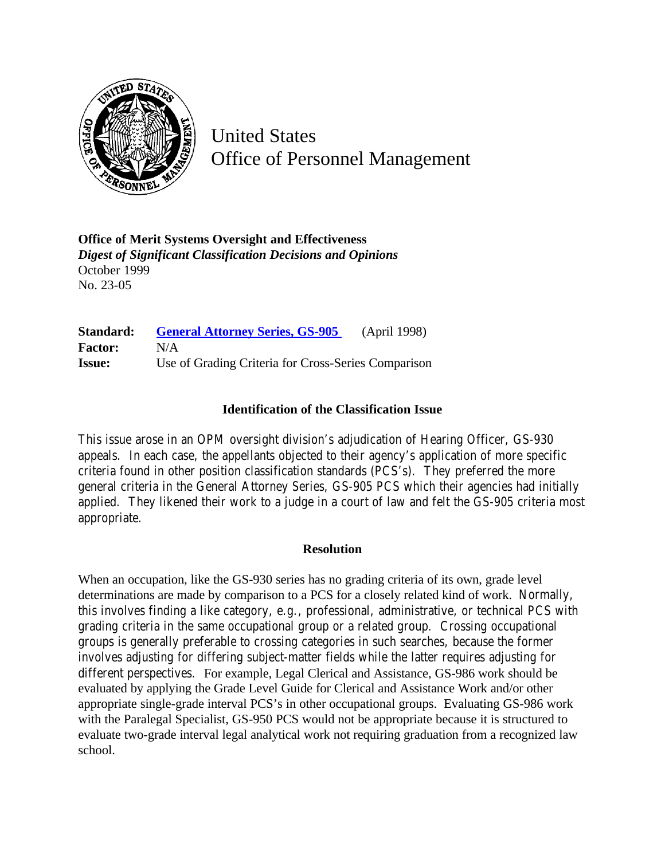

United States Office of Personnel Management

**Office of Merit Systems Oversight and Effectiveness** *Digest of Significant Classification Decisions and Opinions* October 1999 No. 23-05

**Standard: [General Attorney Series, GS-905](http://www.opm.gov/hr/fedclass/gs0905.pdf)** (April 1998) **Factor:** N/A **Issue:** Use of Grading Criteria for Cross-Series Comparison

## **Identification of the Classification Issue**

This issue arose in an OPM oversight division's adjudication of Hearing Officer, GS-930 appeals. In each case, the appellants objected to their agency's application of more specific criteria found in other position classification standards (PCS's). They preferred the more general criteria in the General Attorney Series, GS-905 PCS which their agencies had initially applied. They likened their work to a judge in a court of law and felt the GS-905 criteria most appropriate.

## **Resolution**

When an occupation, like the GS-930 series has no grading criteria of its own, grade level determinations are made by comparison to a PCS for a closely related kind of work. Normally, this involves finding a like category, e.g., professional, administrative, or technical PCS with grading criteria in the same occupational group or a related group. Crossing occupational groups is generally preferable to crossing categories in such searches, because the former involves adjusting for differing subject-matter fields while the latter requires adjusting for different perspectives. For example, Legal Clerical and Assistance, GS-986 work should be evaluated by applying the Grade Level Guide for Clerical and Assistance Work and/or other appropriate single-grade interval PCS's in other occupational groups. Evaluating GS-986 work with the Paralegal Specialist, GS-950 PCS would not be appropriate because it is structured to evaluate two-grade interval legal analytical work not requiring graduation from a recognized law school.